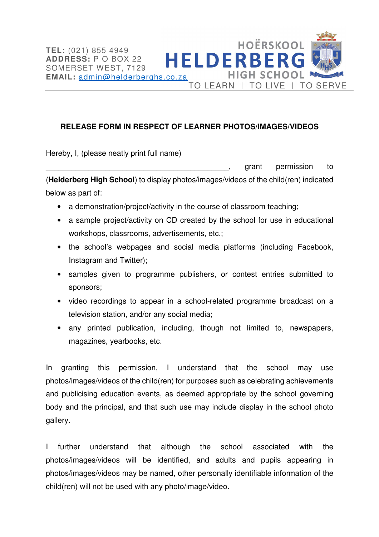

TO LEARN | TO LIVE | TO SERVE

**HIGH SCHOOL** 

**HOËRSKOOL** 

Hereby, I, (please neatly print full name)

\_\_\_\_\_\_\_\_\_\_\_\_\_\_\_\_\_\_\_\_\_\_\_\_\_\_\_\_\_\_\_\_\_\_\_\_\_\_\_\_\_\_\_, grant permission to (**Helderberg High School**) to display photos/images/videos of the child(ren) indicated below as part of:

- a demonstration/project/activity in the course of classroom teaching;
- a sample project/activity on CD created by the school for use in educational workshops, classrooms, advertisements, etc.;
- the school's webpages and social media platforms (including Facebook, Instagram and Twitter);
- samples given to programme publishers, or contest entries submitted to sponsors;
- video recordings to appear in a school-related programme broadcast on a television station, and/or any social media;
- any printed publication, including, though not limited to, newspapers, magazines, yearbooks, etc.

In granting this permission, I understand that the school may use photos/images/videos of the child(ren) for purposes such as celebrating achievements and publicising education events, as deemed appropriate by the school governing body and the principal, and that such use may include display in the school photo gallery.

I further understand that although the school associated with the photos/images/videos will be identified, and adults and pupils appearing in photos/images/videos may be named, other personally identifiable information of the child(ren) will not be used with any photo/image/video.